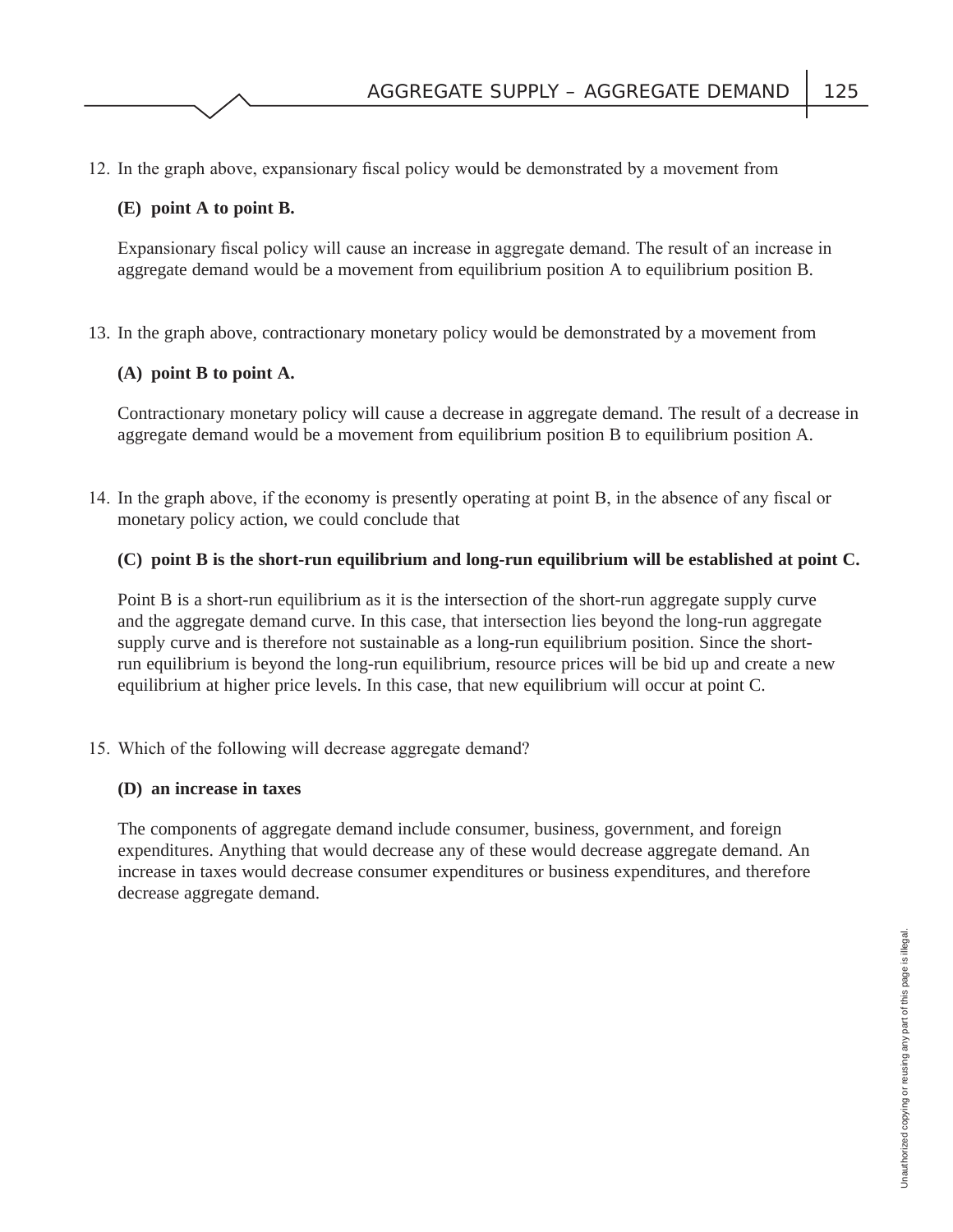12. In the graph above, expansionary fiscal policy would be demonstrated by a movement from

## **(E) point A to point B.**

Expansionary fiscal policy will cause an increase in aggregate demand. The result of an increase in aggregate demand would be a movement from equilibrium position A to equilibrium position B.

13. In the graph above, contractionary monetary policy would be demonstrated by a movement from

## **(A) point B to point A.**

Contractionary monetary policy will cause a decrease in aggregate demand. The result of a decrease in aggregate demand would be a movement from equilibrium position B to equilibrium position A.

14. In the graph above, if the economy is presently operating at point B, in the absence of any fiscal or monetary policy action, we could conclude that

## **(C) point B is the short-run equilibrium and long-run equilibrium will be established at point C.**

Point B is a short-run equilibrium as it is the intersection of the short-run aggregate supply curve and the aggregate demand curve. In this case, that intersection lies beyond the long-run aggregate supply curve and is therefore not sustainable as a long-run equilibrium position. Since the shortrun equilibrium is beyond the long-run equilibrium, resource prices will be bid up and create a new equilibrium at higher price levels. In this case, that new equilibrium will occur at point C.

15. Which of the following will decrease aggregate demand?

#### **(D) an increase in taxes**

The components of aggregate demand include consumer, business, government, and foreign expenditures. Anything that would decrease any of these would decrease aggregate demand. An increase in taxes would decrease consumer expenditures or business expenditures, and therefore decrease aggregate demand.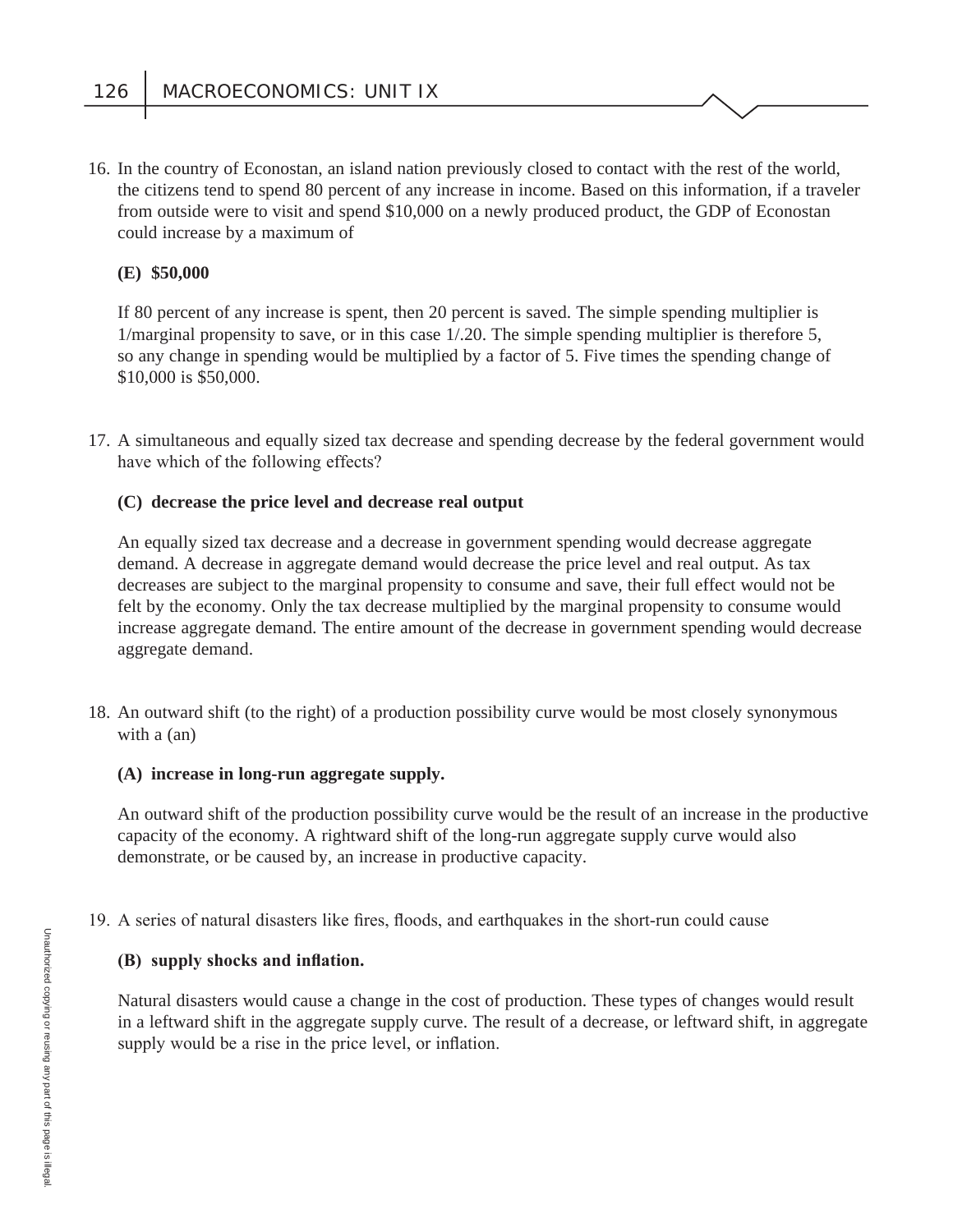16. In the country of Econostan, an island nation previously closed to contact with the rest of the world, the citizens tend to spend 80 percent of any increase in income. Based on this information, if a traveler from outside were to visit and spend \$10,000 on a newly produced product, the GDP of Econostan could increase by a maximum of

## **(E) \$50,000**

If 80 percent of any increase is spent, then 20 percent is saved. The simple spending multiplier is 1/marginal propensity to save, or in this case 1/.20. The simple spending multiplier is therefore 5, so any change in spending would be multiplied by a factor of 5. Five times the spending change of \$10,000 is \$50,000.

 17. A simultaneous and equally sized tax decrease and spending decrease by the federal government would have which of the following effects?

## **(C) decrease the price level and decrease real output**

An equally sized tax decrease and a decrease in government spending would decrease aggregate demand. A decrease in aggregate demand would decrease the price level and real output. As tax decreases are subject to the marginal propensity to consume and save, their full effect would not be felt by the economy. Only the tax decrease multiplied by the marginal propensity to consume would increase aggregate demand. The entire amount of the decrease in government spending would decrease aggregate demand.

 18. An outward shift (to the right) of a production possibility curve would be most closely synonymous with a (an)

#### **(A) increase in long-run aggregate supply.**

An outward shift of the production possibility curve would be the result of an increase in the productive capacity of the economy. A rightward shift of the long-run aggregate supply curve would also demonstrate, or be caused by, an increase in productive capacity.

19. A series of natural disasters like fires, floods, and earthquakes in the short-run could cause

#### **(B)** supply shocks and inflation.

Natural disasters would cause a change in the cost of production. These types of changes would result in a leftward shift in the aggregate supply curve. The result of a decrease, or leftward shift, in aggregate supply would be a rise in the price level, or inflation.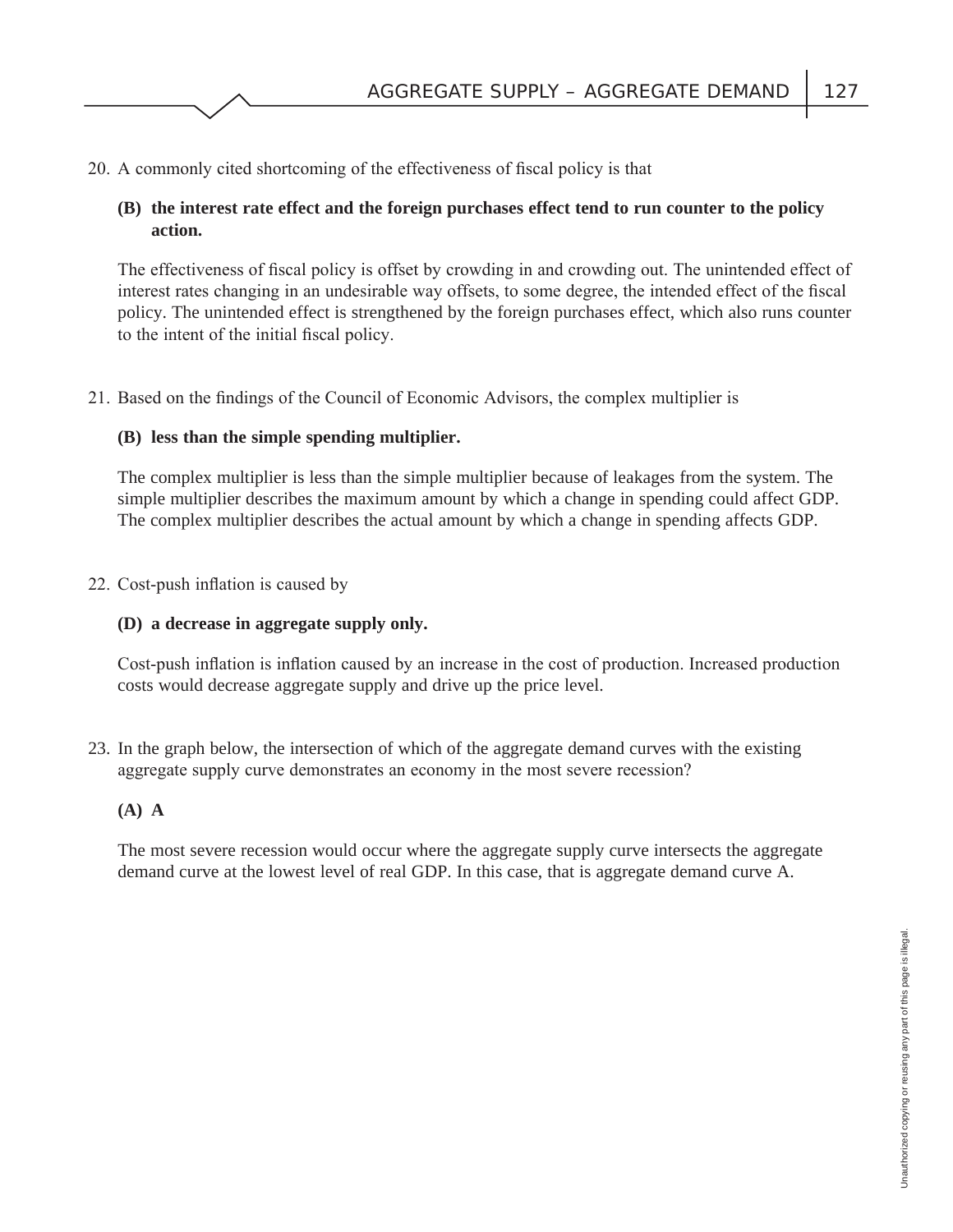20. A commonly cited shortcoming of the effectiveness of fiscal policy is that

## **(B) the interest rate effect and the foreign purchases effect tend to run counter to the policy action.**

The effectiveness of fiscal policy is offset by crowding in and crowding out. The unintended effect of interest rates changing in an undesirable way offsets, to some degree, the intended effect of the fiscal policy. The unintended effect is strengthened by the foreign purchases effect, which also runs counter to the intent of the initial fiscal policy.

21. Based on the findings of the Council of Economic Advisors, the complex multiplier is

## **(B) less than the simple spending multiplier.**

The complex multiplier is less than the simple multiplier because of leakages from the system. The simple multiplier describes the maximum amount by which a change in spending could affect GDP. The complex multiplier describes the actual amount by which a change in spending affects GDP.

22. Cost-push inflation is caused by

## **(D) a decrease in aggregate supply only.**

Cost-push inflation is inflation caused by an increase in the cost of production. Increased production costs would decrease aggregate supply and drive up the price level.

 23. In the graph below, the intersection of which of the aggregate demand curves with the existing aggregate supply curve demonstrates an economy in the most severe recession?

## **(A) A**

The most severe recession would occur where the aggregate supply curve intersects the aggregate demand curve at the lowest level of real GDP. In this case, that is aggregate demand curve A.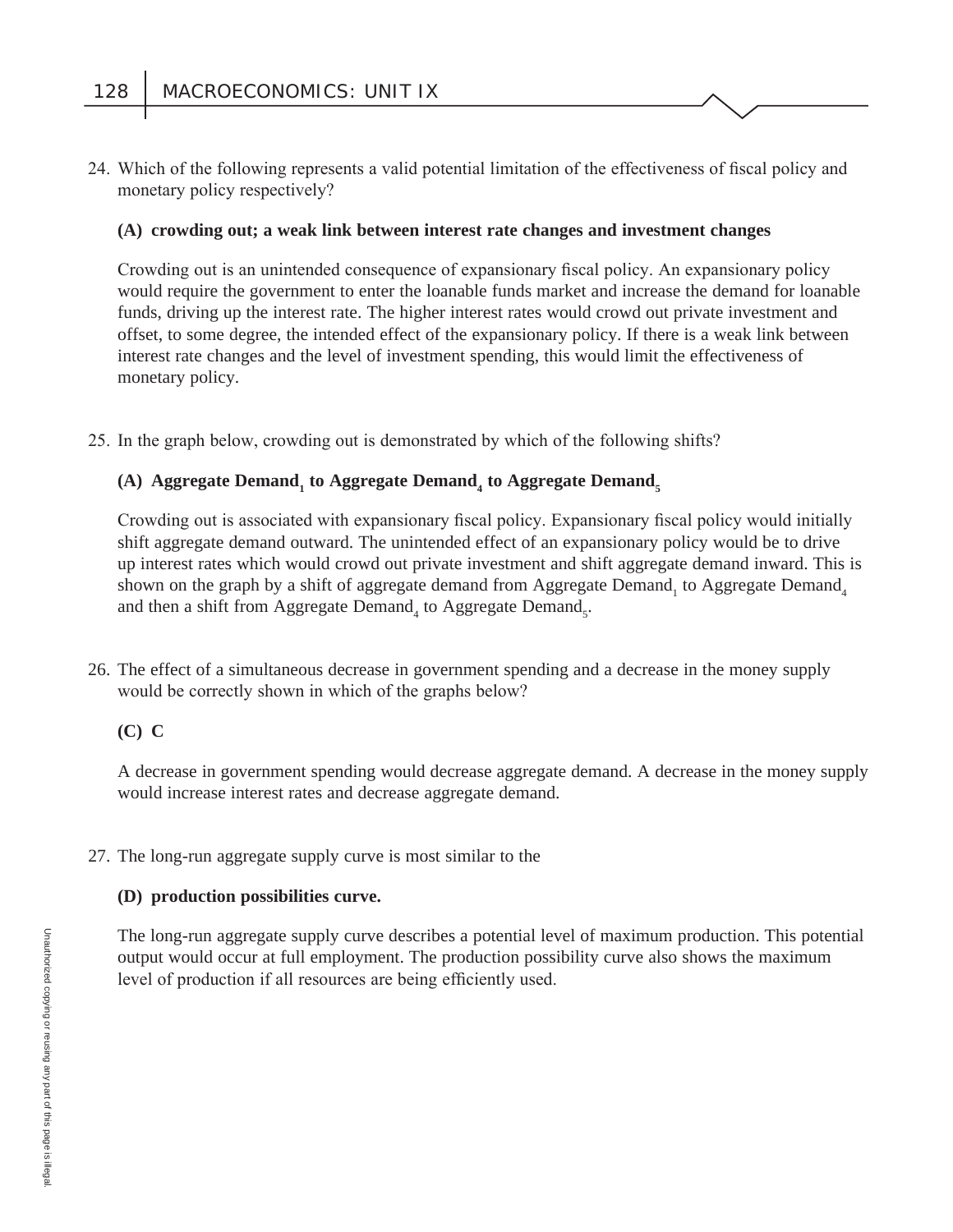24. Which of the following represents a valid potential limitation of the effectiveness of fiscal policy and monetary policy respectively?

## **(A) crowding out; a weak link between interest rate changes and investment changes**

Crowding out is an unintended consequence of expansionary fiscal policy. An expansionary policy would require the government to enter the loanable funds market and increase the demand for loanable funds, driving up the interest rate. The higher interest rates would crowd out private investment and offset, to some degree, the intended effect of the expansionary policy. If there is a weak link between interest rate changes and the level of investment spending, this would limit the effectiveness of monetary policy.

25. In the graph below, crowding out is demonstrated by which of the following shifts?

## (A) Aggregate Demand<sub>1</sub> to Aggregate Demand<sub>4</sub> to Aggregate Demand<sub>5</sub>

Crowding out is associated with expansionary fiscal policy. Expansionary fiscal policy would initially shift aggregate demand outward. The unintended effect of an expansionary policy would be to drive up interest rates which would crowd out private investment and shift aggregate demand inward. This is shown on the graph by a shift of aggregate demand from Aggregate Demand<sub>1</sub> to Aggregate Demand<sub>4</sub> and then a shift from Aggregate Demand<sub>4</sub> to Aggregate Demand<sub>5</sub>.

 26. The effect of a simultaneous decrease in government spending and a decrease in the money supply would be correctly shown in which of the graphs below?

## **(C) C**

A decrease in government spending would decrease aggregate demand. A decrease in the money supply would increase interest rates and decrease aggregate demand.

## 27. The long-run aggregate supply curve is most similar to the

#### **(D) production possibilities curve.**

The long-run aggregate supply curve describes a potential level of maximum production. This potential output would occur at full employment. The production possibility curve also shows the maximum level of production if all resources are being efficiently used.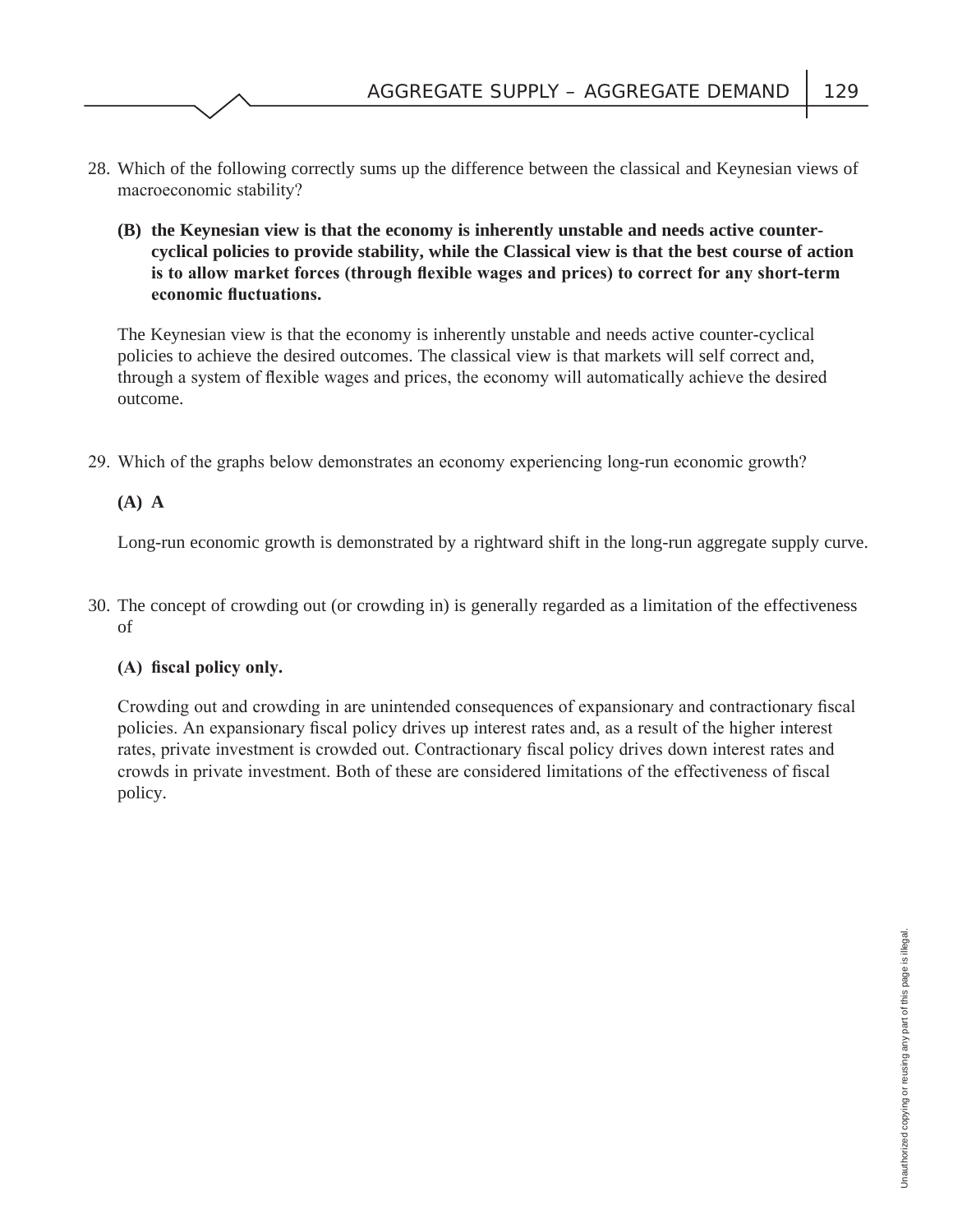- 28. Which of the following correctly sums up the difference between the classical and Keynesian views of macroeconomic stability?
	- **(B) the Keynesian view is that the economy is inherently unstable and needs active countercyclical policies to provide stability, while the Classical view is that the best course of action**  is to allow market forces (through flexible wages and prices) to correct for any short-term **economic fluctuations.**

The Keynesian view is that the economy is inherently unstable and needs active counter-cyclical policies to achieve the desired outcomes. The classical view is that markets will self correct and, through a system of flexible wages and prices, the economy will automatically achieve the desired outcome.

29. Which of the graphs below demonstrates an economy experiencing long-run economic growth?

## **(A) A**

Long-run economic growth is demonstrated by a rightward shift in the long-run aggregate supply curve.

 30. The concept of crowding out (or crowding in) is generally regarded as a limitation of the effectiveness of

## (A) fiscal policy only.

Crowding out and crowding in are unintended consequences of expansionary and contractionary fiscal policies. An expansionary fiscal policy drives up interest rates and, as a result of the higher interest rates, private investment is crowded out. Contractionary fiscal policy drives down interest rates and crowds in private investment. Both of these are considered limitations of the effectiveness of fiscal policy.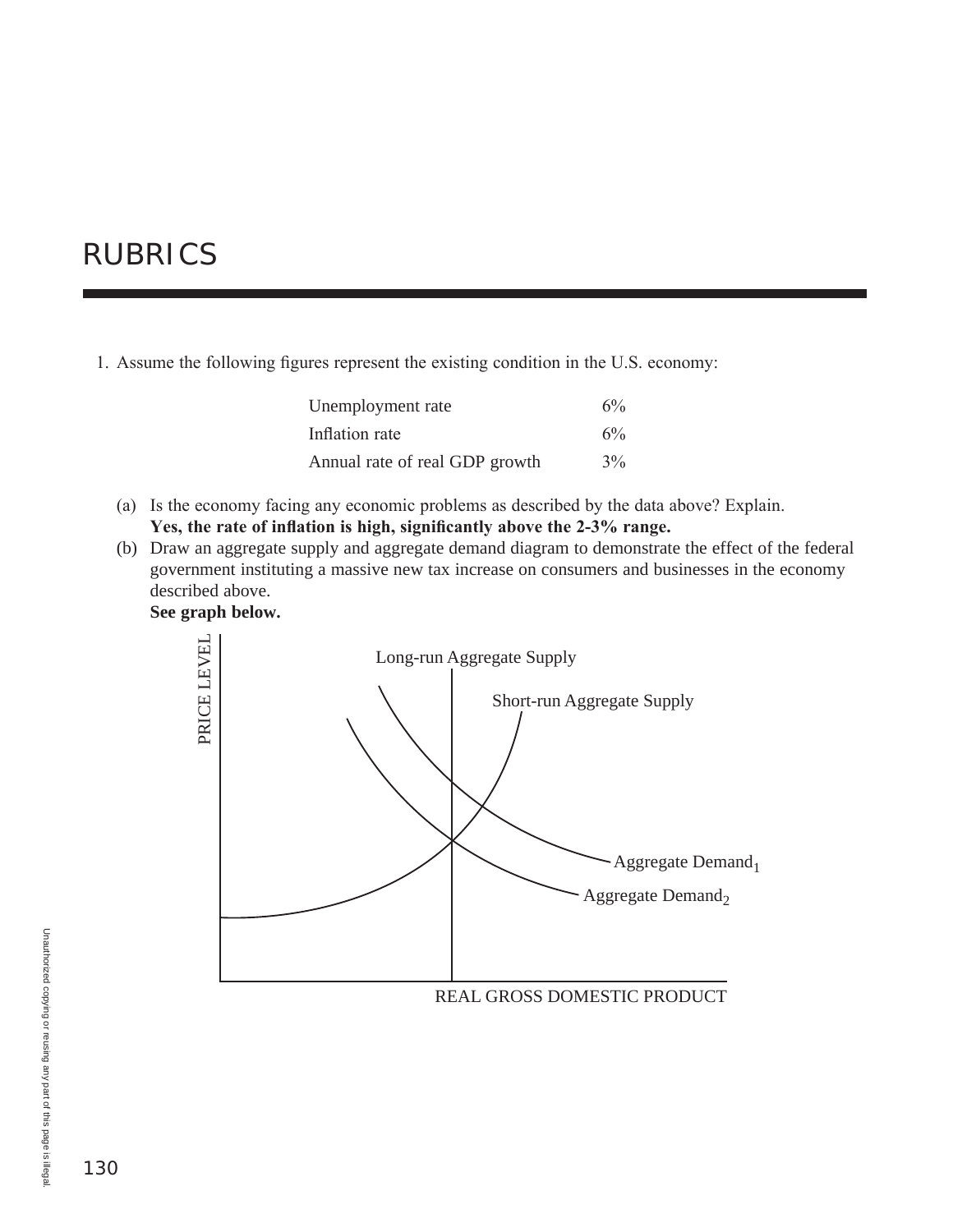# RUBRICS

1. Assume the following figures represent the existing condition in the U.S. economy:

| Unemployment rate              | 6% |
|--------------------------------|----|
| Inflation rate                 | 6% |
| Annual rate of real GDP growth | 3% |

- (a) Is the economy facing any economic problems as described by the data above? Explain. Yes, the rate of inflation is high, significantly above the 2-3% range.
- (b) Draw an aggregate supply and aggregate demand diagram to demonstrate the effect of the federal government instituting a massive new tax increase on consumers and businesses in the economy described above.

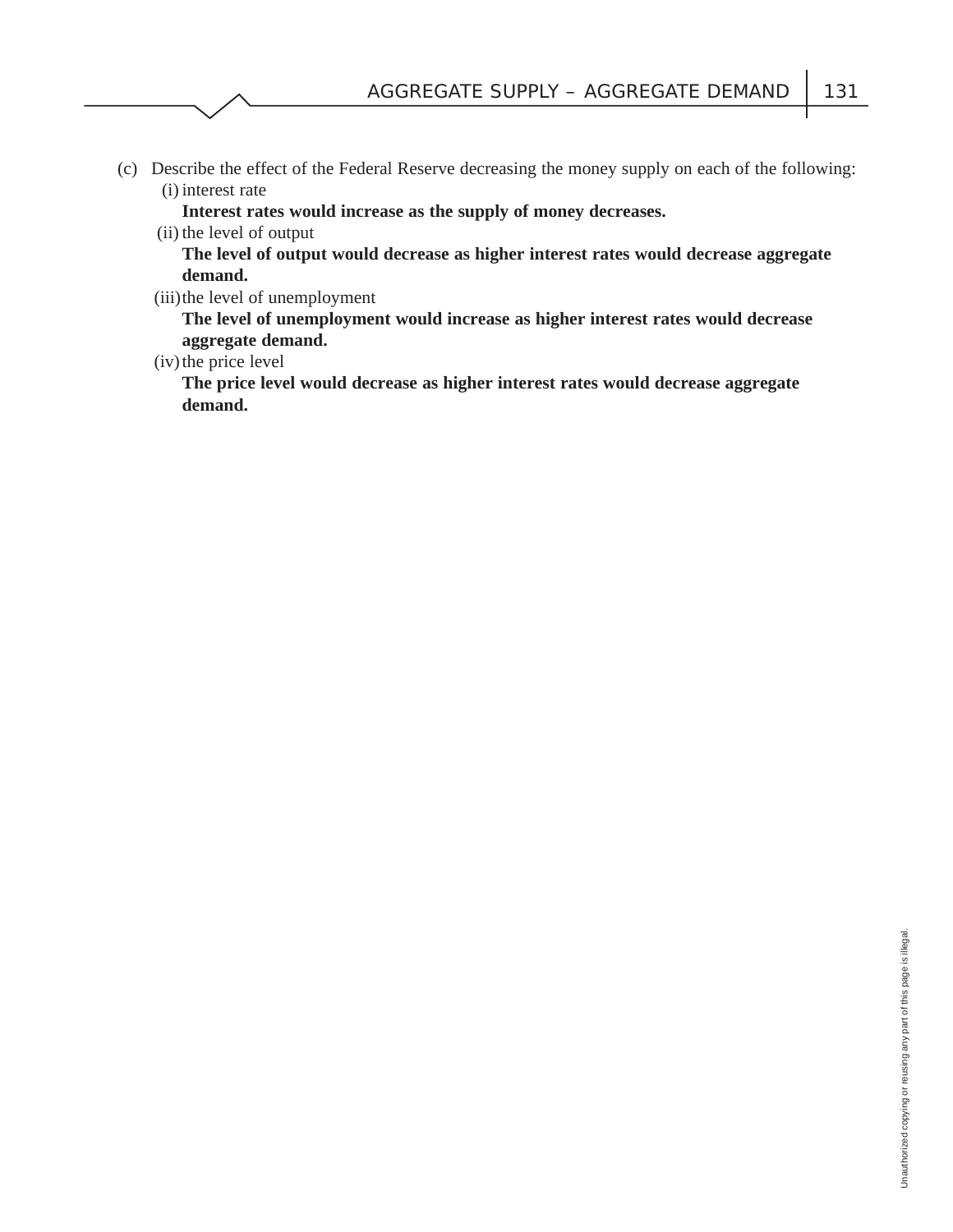(c) Describe the effect of the Federal Reserve decreasing the money supply on each of the following: (i) interest rate

**Interest rates would increase as the supply of money decreases.**

(ii) the level of output

**The level of output would decrease as higher interest rates would decrease aggregate demand.**

(iii) the level of unemployment

**The level of unemployment would increase as higher interest rates would decrease aggregate demand.**

(iv) the price level

**The price level would decrease as higher interest rates would decrease aggregate demand.**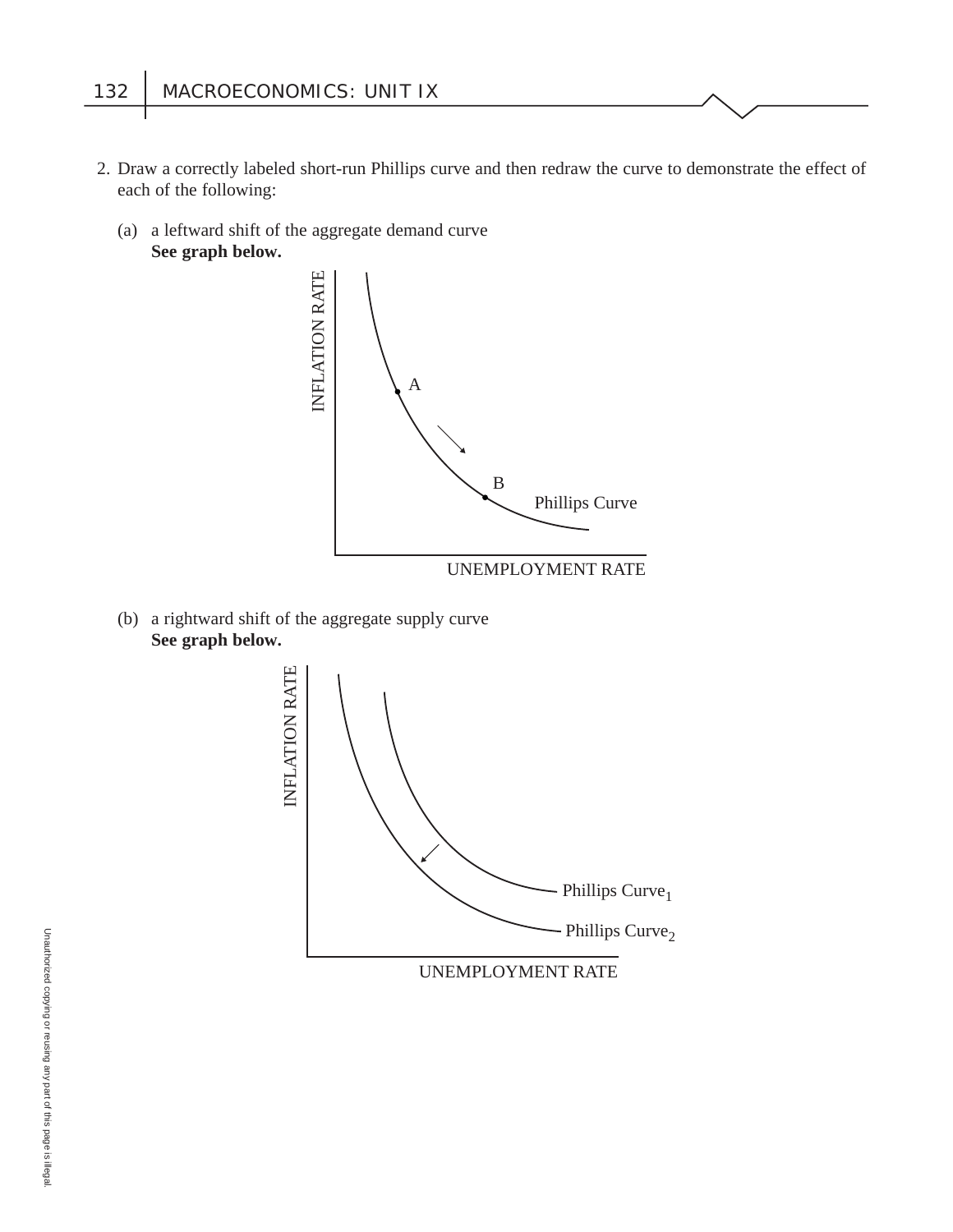- 2. Draw a correctly labeled short-run Phillips curve and then redraw the curve to demonstrate the effect of each of the following:
	- (a) a leftward shift of the aggregate demand curve **See graph below.**



(b) a rightward shift of the aggregate supply curve **See graph below.**